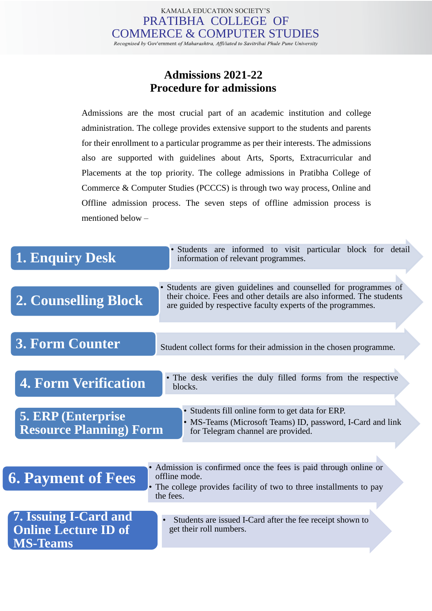## **Admissions 2021-22 Procedure for admissions**

Admissions are the most crucial part of an academic institution and college administration. The college provides extensive support to the students and parents for their enrollment to a particular programme as per their interests. The admissions also are supported with guidelines about Arts, Sports, Extracurricular and Placements at the top priority. The college admissions in Pratibha College of Commerce & Computer Studies (PCCCS) is through two way process, Online and Offline admission process. The seven steps of offline admission process is mentioned below –

| <b>1. Enquiry Desk</b>                                                  | • Students are informed to visit particular block for detail<br>information of relevant programmes.                                                                                                   |
|-------------------------------------------------------------------------|-------------------------------------------------------------------------------------------------------------------------------------------------------------------------------------------------------|
| <b>2. Counselling Block</b>                                             | Students are given guidelines and counselled for programmes of<br>their choice. Fees and other details are also informed. The students<br>are guided by respective faculty experts of the programmes. |
| <b>3. Form Counter</b>                                                  | Student collect forms for their admission in the chosen programme.                                                                                                                                    |
| <b>4. Form Verification</b>                                             | • The desk verifies the duly filled forms from the respective<br>blocks.                                                                                                                              |
| <b>5. ERP</b> (Enterprise)<br><b>Resource Planning) Form</b>            | • Students fill online form to get data for ERP.<br>• MS-Teams (Microsoft Teams) ID, password, I-Card and link<br>for Telegram channel are provided.                                                  |
| <b>6. Payment of Fees</b>                                               | • Admission is confirmed once the fees is paid through online or<br>offline mode.<br>The college provides facility of two to three installments to pay<br>the fees.                                   |
| 7. Issuing I-Card and<br><b>Online Lecture ID of</b><br><b>MS-Teams</b> | Students are issued I-Card after the fee receipt shown to<br>get their roll numbers.                                                                                                                  |